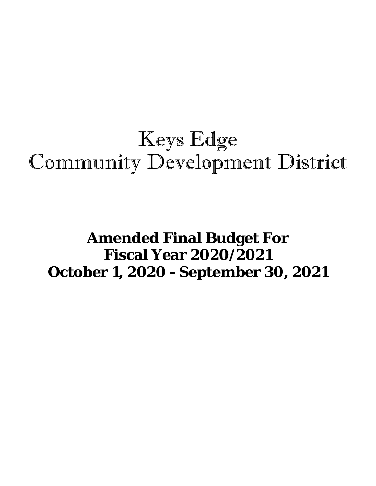# Keys Edge Community Development District

## **Amended Final Budget For Fiscal Year 2020/2021 October 1, 2020 - September 30, 2021**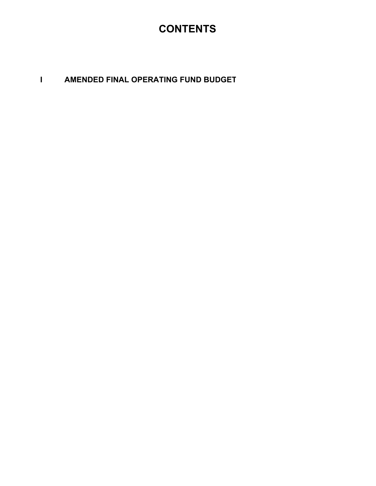### **CONTENTS**

#### **I AMENDED FINAL OPERATING FUND BUDGET**